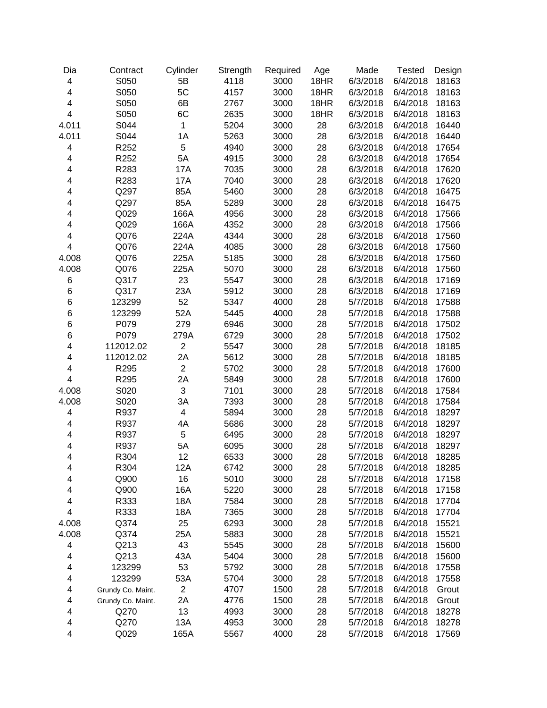| Dia                     | Contract          | Cylinder       | Strength | Required | Age  | Made     | <b>Tested</b> | Design |
|-------------------------|-------------------|----------------|----------|----------|------|----------|---------------|--------|
| $\overline{\mathbf{4}}$ | S050              | 5B             | 4118     | 3000     | 18HR | 6/3/2018 | 6/4/2018      | 18163  |
| 4                       | S050              | 5C             | 4157     | 3000     | 18HR | 6/3/2018 | 6/4/2018      | 18163  |
| $\overline{\mathbf{4}}$ | S050              | 6B             | 2767     | 3000     | 18HR | 6/3/2018 | 6/4/2018      | 18163  |
| $\overline{\mathbf{4}}$ | S050              | 6C             | 2635     | 3000     | 18HR | 6/3/2018 | 6/4/2018      | 18163  |
| 4.011                   | S044              | $\mathbf{1}$   | 5204     | 3000     | 28   | 6/3/2018 | 6/4/2018      | 16440  |
| 4.011                   | S044              | 1A             | 5263     | 3000     | 28   | 6/3/2018 | 6/4/2018      | 16440  |
| 4                       | R252              | 5              | 4940     | 3000     | 28   | 6/3/2018 | 6/4/2018      | 17654  |
| 4                       | R252              | 5A             | 4915     | 3000     | 28   | 6/3/2018 | 6/4/2018      | 17654  |
| 4                       | R283              | 17A            | 7035     | 3000     | 28   | 6/3/2018 | 6/4/2018      | 17620  |
| 4                       | R283              | 17A            | 7040     | 3000     | 28   | 6/3/2018 | 6/4/2018      | 17620  |
| 4                       | Q297              | 85A            | 5460     | 3000     | 28   | 6/3/2018 | 6/4/2018      | 16475  |
| 4                       | Q297              | 85A            | 5289     | 3000     | 28   | 6/3/2018 | 6/4/2018      | 16475  |
| 4                       | Q029              | 166A           | 4956     | 3000     | 28   | 6/3/2018 | 6/4/2018      | 17566  |
| 4                       | Q029              | 166A           | 4352     | 3000     | 28   | 6/3/2018 | 6/4/2018      | 17566  |
| 4                       | Q076              | 224A           | 4344     | 3000     | 28   | 6/3/2018 | 6/4/2018      | 17560  |
| $\overline{\mathbf{4}}$ | Q076              | 224A           | 4085     | 3000     | 28   | 6/3/2018 | 6/4/2018      | 17560  |
| 4.008                   | Q076              | 225A           | 5185     | 3000     | 28   | 6/3/2018 | 6/4/2018      | 17560  |
| 4.008                   | Q076              | 225A           | 5070     | 3000     | 28   | 6/3/2018 | 6/4/2018      | 17560  |
| 6                       | Q317              | 23             | 5547     | 3000     | 28   | 6/3/2018 | 6/4/2018      | 17169  |
| 6                       | Q317              | 23A            | 5912     | 3000     | 28   | 6/3/2018 | 6/4/2018      | 17169  |
| 6                       | 123299            | 52             | 5347     | 4000     | 28   | 5/7/2018 | 6/4/2018      | 17588  |
| 6                       | 123299            | 52A            | 5445     | 4000     | 28   | 5/7/2018 | 6/4/2018      | 17588  |
| 6                       | P079              | 279            | 6946     | 3000     | 28   | 5/7/2018 | 6/4/2018      | 17502  |
| 6                       | P079              | 279A           | 6729     | 3000     | 28   | 5/7/2018 | 6/4/2018      | 17502  |
| 4                       | 112012.02         | $\overline{c}$ | 5547     | 3000     | 28   | 5/7/2018 | 6/4/2018      | 18185  |
| 4                       | 112012.02         | 2A             | 5612     | 3000     | 28   | 5/7/2018 | 6/4/2018      | 18185  |
| 4                       | R295              | $\overline{2}$ | 5702     | 3000     | 28   | 5/7/2018 | 6/4/2018      | 17600  |
| 4                       | R295              | 2A             | 5849     | 3000     | 28   | 5/7/2018 | 6/4/2018      | 17600  |
| 4.008                   | S020              | 3              | 7101     | 3000     | 28   | 5/7/2018 | 6/4/2018      | 17584  |
| 4.008                   | S020              | 3A             | 7393     | 3000     | 28   | 5/7/2018 | 6/4/2018      | 17584  |
| 4                       | R937              | 4              | 5894     | 3000     | 28   | 5/7/2018 | 6/4/2018      | 18297  |
| 4                       | R937              | 4A             | 5686     | 3000     | 28   | 5/7/2018 | 6/4/2018      | 18297  |
| 4                       | R937              | 5              | 6495     | 3000     | 28   | 5/7/2018 | 6/4/2018      | 18297  |
| 4                       | R937              | 5A             | 6095     | 3000     | 28   | 5/7/2018 | 6/4/2018      | 18297  |
| 4                       | R304              | 12             | 6533     | 3000     | 28   | 5/7/2018 | 6/4/2018      | 18285  |
| 4                       | R304              | 12A            | 6742     | 3000     | 28   | 5/7/2018 | 6/4/2018      | 18285  |
| 4                       | Q900              | 16             | 5010     | 3000     | 28   | 5/7/2018 | 6/4/2018      | 17158  |
| 4                       | Q900              | 16A            | 5220     | 3000     | 28   | 5/7/2018 | 6/4/2018      | 17158  |
| 4                       | R333              | 18A            | 7584     | 3000     | 28   | 5/7/2018 | 6/4/2018      | 17704  |
| 4                       | R333              | 18A            | 7365     | 3000     | 28   | 5/7/2018 | 6/4/2018      | 17704  |
| 4.008                   | Q374              | 25             | 6293     | 3000     | 28   | 5/7/2018 | 6/4/2018      | 15521  |
| 4.008                   | Q374              | 25A            | 5883     | 3000     | 28   | 5/7/2018 | 6/4/2018      | 15521  |
| 4                       | Q213              | 43             | 5545     | 3000     | 28   | 5/7/2018 | 6/4/2018      | 15600  |
| 4                       | Q213              | 43A            | 5404     | 3000     | 28   | 5/7/2018 | 6/4/2018      | 15600  |
| 4                       | 123299            | 53             | 5792     | 3000     | 28   | 5/7/2018 | 6/4/2018      | 17558  |
| 4                       | 123299            | 53A            | 5704     | 3000     | 28   | 5/7/2018 | 6/4/2018      | 17558  |
| 4                       | Grundy Co. Maint. | $\mathbf{2}$   | 4707     | 1500     | 28   | 5/7/2018 | 6/4/2018      | Grout  |
| 4                       | Grundy Co. Maint. | 2A             | 4776     | 1500     | 28   | 5/7/2018 | 6/4/2018      | Grout  |
| 4                       | Q270              | 13             | 4993     | 3000     | 28   | 5/7/2018 | 6/4/2018      | 18278  |
| 4                       | Q270              | 13A            | 4953     | 3000     | 28   | 5/7/2018 | 6/4/2018      | 18278  |
| 4                       | Q029              | 165A           | 5567     | 4000     | 28   | 5/7/2018 | 6/4/2018      | 17569  |
|                         |                   |                |          |          |      |          |               |        |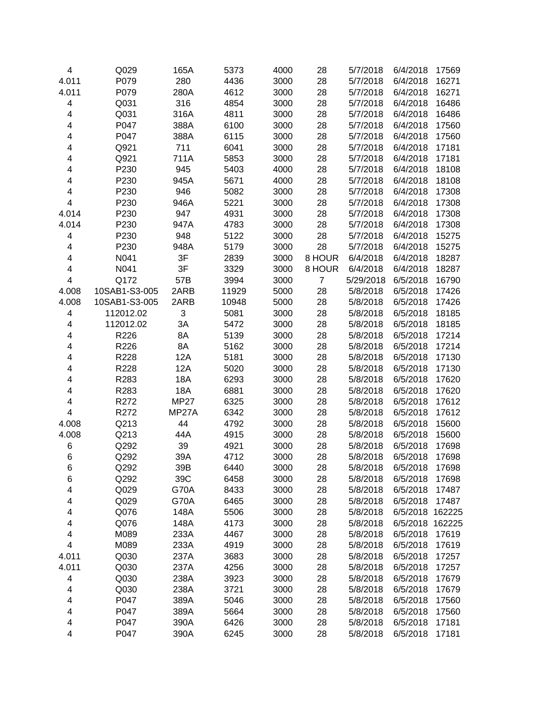| 4                       | Q029          | 165A        | 5373  | 4000 | 28             | 5/7/2018  | 6/4/2018 | 17569  |
|-------------------------|---------------|-------------|-------|------|----------------|-----------|----------|--------|
| 4.011                   | P079          | 280         | 4436  | 3000 | 28             | 5/7/2018  | 6/4/2018 | 16271  |
| 4.011                   | P079          | 280A        | 4612  | 3000 | 28             | 5/7/2018  | 6/4/2018 | 16271  |
| 4                       | Q031          | 316         | 4854  | 3000 | 28             | 5/7/2018  | 6/4/2018 | 16486  |
| 4                       | Q031          | 316A        | 4811  | 3000 | 28             | 5/7/2018  | 6/4/2018 | 16486  |
| 4                       | P047          | 388A        | 6100  | 3000 | 28             | 5/7/2018  | 6/4/2018 | 17560  |
| 4                       | P047          | 388A        | 6115  | 3000 | 28             | 5/7/2018  | 6/4/2018 | 17560  |
| 4                       | Q921          | 711         | 6041  | 3000 | 28             | 5/7/2018  | 6/4/2018 | 17181  |
| 4                       | Q921          | 711A        | 5853  | 3000 | 28             | 5/7/2018  | 6/4/2018 | 17181  |
| 4                       | P230          | 945         | 5403  | 4000 | 28             | 5/7/2018  | 6/4/2018 | 18108  |
| 4                       | P230          | 945A        | 5671  | 4000 | 28             | 5/7/2018  | 6/4/2018 | 18108  |
| 4                       | P230          | 946         | 5082  | 3000 | 28             | 5/7/2018  | 6/4/2018 | 17308  |
| $\overline{\mathbf{4}}$ | P230          | 946A        | 5221  | 3000 | 28             | 5/7/2018  | 6/4/2018 | 17308  |
| 4.014                   | P230          | 947         | 4931  | 3000 | 28             | 5/7/2018  | 6/4/2018 | 17308  |
| 4.014                   | P230          | 947A        | 4783  | 3000 | 28             | 5/7/2018  | 6/4/2018 | 17308  |
| 4                       | P230          | 948         | 5122  | 3000 | 28             | 5/7/2018  | 6/4/2018 | 15275  |
| $\overline{\mathbf{4}}$ | P230          | 948A        | 5179  | 3000 | 28             | 5/7/2018  | 6/4/2018 | 15275  |
| $\overline{\mathbf{4}}$ | N041          | 3F          | 2839  | 3000 | 8 HOUR         | 6/4/2018  | 6/4/2018 | 18287  |
| $\overline{\mathbf{4}}$ | N041          | 3F          | 3329  | 3000 | 8 HOUR         | 6/4/2018  | 6/4/2018 | 18287  |
| $\overline{\mathbf{4}}$ | Q172          | 57B         | 3994  | 3000 | $\overline{7}$ | 5/29/2018 | 6/5/2018 | 16790  |
| 4.008                   | 10SAB1-S3-005 | 2ARB        | 11929 | 5000 | 28             | 5/8/2018  | 6/5/2018 | 17426  |
| 4.008                   | 10SAB1-S3-005 | 2ARB        | 10948 | 5000 | 28             | 5/8/2018  | 6/5/2018 | 17426  |
| 4                       | 112012.02     | 3           | 5081  | 3000 | 28             | 5/8/2018  | 6/5/2018 | 18185  |
| 4                       | 112012.02     | 3A          | 5472  | 3000 | 28             | 5/8/2018  | 6/5/2018 | 18185  |
| 4                       | R226          | 8A          | 5139  | 3000 | 28             | 5/8/2018  | 6/5/2018 | 17214  |
| 4                       | R226          | 8A          | 5162  | 3000 | 28             | 5/8/2018  | 6/5/2018 | 17214  |
| 4                       | R228          | <b>12A</b>  | 5181  | 3000 | 28             | 5/8/2018  | 6/5/2018 | 17130  |
| 4                       | R228          | 12A         | 5020  | 3000 | 28             | 5/8/2018  | 6/5/2018 | 17130  |
| 4                       | R283          | 18A         | 6293  | 3000 | 28             | 5/8/2018  | 6/5/2018 | 17620  |
| 4                       | R283          | 18A         | 6881  | 3000 | 28             | 5/8/2018  | 6/5/2018 | 17620  |
| 4                       | R272          | <b>MP27</b> | 6325  | 3000 | 28             | 5/8/2018  | 6/5/2018 | 17612  |
| 4                       | R272          | MP27A       | 6342  | 3000 | 28             | 5/8/2018  | 6/5/2018 | 17612  |
| 4.008                   | Q213          | 44          | 4792  | 3000 | 28             | 5/8/2018  | 6/5/2018 | 15600  |
| 4.008                   | Q213          | 44A         | 4915  | 3000 | 28             | 5/8/2018  | 6/5/2018 | 15600  |
| 6                       | Q292          | 39          | 4921  | 3000 | 28             | 5/8/2018  | 6/5/2018 | 17698  |
| 6                       | Q292          | 39A         | 4712  | 3000 | 28             | 5/8/2018  | 6/5/2018 | 17698  |
| 6                       | Q292          | 39B         | 6440  | 3000 | 28             | 5/8/2018  | 6/5/2018 | 17698  |
| 6                       | Q292          | 39C         | 6458  | 3000 | 28             | 5/8/2018  | 6/5/2018 | 17698  |
| 4                       | Q029          | <b>G70A</b> | 8433  | 3000 | 28             | 5/8/2018  | 6/5/2018 | 17487  |
| 4                       | Q029          | <b>G70A</b> | 6465  | 3000 | 28             | 5/8/2018  | 6/5/2018 | 17487  |
| 4                       | Q076          | 148A        | 5506  | 3000 | 28             | 5/8/2018  | 6/5/2018 | 162225 |
| 4                       | Q076          | 148A        | 4173  | 3000 | 28             | 5/8/2018  | 6/5/2018 | 162225 |
| 4                       | M089          | 233A        | 4467  | 3000 | 28             | 5/8/2018  | 6/5/2018 | 17619  |
| $\overline{\mathbf{4}}$ | M089          | 233A        | 4919  | 3000 | 28             | 5/8/2018  | 6/5/2018 | 17619  |
| 4.011                   | Q030          | 237A        | 3683  | 3000 | 28             | 5/8/2018  | 6/5/2018 | 17257  |
| 4.011                   | Q030          | 237A        | 4256  | 3000 | 28             | 5/8/2018  | 6/5/2018 | 17257  |
| 4                       | Q030          | 238A        | 3923  | 3000 | 28             | 5/8/2018  | 6/5/2018 | 17679  |
| 4                       | Q030          | 238A        | 3721  | 3000 | 28             | 5/8/2018  | 6/5/2018 | 17679  |
| 4                       | P047          | 389A        | 5046  | 3000 | 28             | 5/8/2018  | 6/5/2018 | 17560  |
| 4                       | P047          | 389A        | 5664  | 3000 | 28             | 5/8/2018  | 6/5/2018 | 17560  |
| 4                       | P047          | 390A        | 6426  | 3000 | 28             | 5/8/2018  | 6/5/2018 | 17181  |
| $\overline{\mathbf{4}}$ | P047          | 390A        | 6245  | 3000 | 28             | 5/8/2018  | 6/5/2018 | 17181  |
|                         |               |             |       |      |                |           |          |        |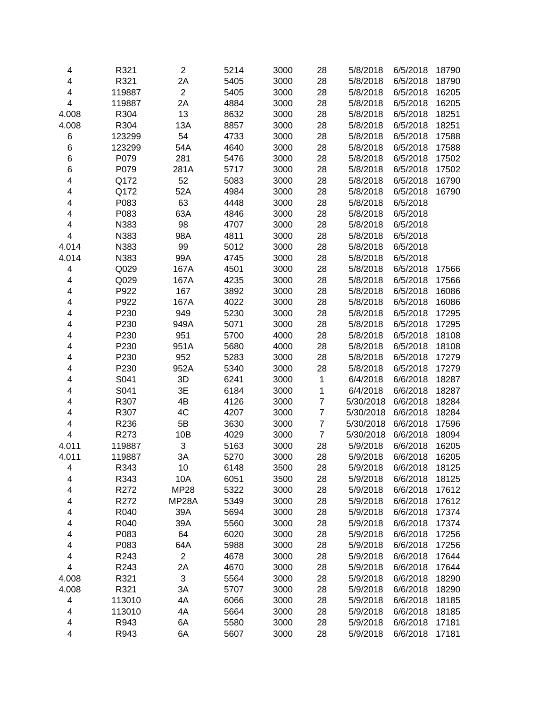| 4                       | R321   | $\mathbf{2}$   | 5214 | 3000 | 28             | 5/8/2018  | 6/5/2018 | 18790 |
|-------------------------|--------|----------------|------|------|----------------|-----------|----------|-------|
| 4                       | R321   | 2A             | 5405 | 3000 | 28             | 5/8/2018  | 6/5/2018 | 18790 |
| 4                       | 119887 | $\overline{2}$ | 5405 | 3000 | 28             | 5/8/2018  | 6/5/2018 | 16205 |
| $\overline{\mathbf{4}}$ | 119887 | 2A             | 4884 | 3000 | 28             | 5/8/2018  | 6/5/2018 | 16205 |
| 4.008                   | R304   | 13             | 8632 | 3000 | 28             | 5/8/2018  | 6/5/2018 | 18251 |
| 4.008                   | R304   | 13A            | 8857 | 3000 | 28             | 5/8/2018  | 6/5/2018 | 18251 |
| 6                       | 123299 | 54             | 4733 | 3000 | 28             | 5/8/2018  | 6/5/2018 | 17588 |
| 6                       | 123299 | 54A            | 4640 | 3000 | 28             | 5/8/2018  | 6/5/2018 | 17588 |
| 6                       | P079   | 281            | 5476 | 3000 | 28             | 5/8/2018  | 6/5/2018 | 17502 |
| 6                       | P079   | 281A           | 5717 | 3000 | 28             | 5/8/2018  | 6/5/2018 | 17502 |
| 4                       | Q172   | 52             | 5083 | 3000 | 28             | 5/8/2018  | 6/5/2018 | 16790 |
| 4                       | Q172   | 52A            | 4984 | 3000 | 28             | 5/8/2018  | 6/5/2018 | 16790 |
| 4                       | P083   | 63             | 4448 | 3000 | 28             | 5/8/2018  | 6/5/2018 |       |
| 4                       | P083   | 63A            | 4846 | 3000 | 28             | 5/8/2018  | 6/5/2018 |       |
| 4                       | N383   | 98             | 4707 | 3000 | 28             | 5/8/2018  | 6/5/2018 |       |
| 4                       | N383   | 98A            | 4811 | 3000 | 28             | 5/8/2018  | 6/5/2018 |       |
| 4.014                   | N383   | 99             | 5012 | 3000 | 28             | 5/8/2018  | 6/5/2018 |       |
| 4.014                   | N383   | 99A            | 4745 | 3000 | 28             | 5/8/2018  | 6/5/2018 |       |
| 4                       | Q029   | 167A           | 4501 | 3000 | 28             | 5/8/2018  | 6/5/2018 | 17566 |
| 4                       | Q029   | 167A           | 4235 | 3000 | 28             | 5/8/2018  | 6/5/2018 | 17566 |
| 4                       | P922   | 167            | 3892 | 3000 | 28             | 5/8/2018  | 6/5/2018 | 16086 |
| 4                       | P922   | 167A           | 4022 | 3000 | 28             | 5/8/2018  | 6/5/2018 | 16086 |
| 4                       | P230   | 949            | 5230 | 3000 | 28             | 5/8/2018  | 6/5/2018 | 17295 |
| 4                       | P230   | 949A           | 5071 | 3000 | 28             | 5/8/2018  | 6/5/2018 | 17295 |
| 4                       | P230   | 951            | 5700 | 4000 | 28             | 5/8/2018  | 6/5/2018 | 18108 |
| 4                       | P230   | 951A           | 5680 | 4000 | 28             | 5/8/2018  | 6/5/2018 | 18108 |
| 4                       | P230   | 952            | 5283 | 3000 | 28             | 5/8/2018  | 6/5/2018 | 17279 |
| 4                       | P230   | 952A           | 5340 | 3000 | 28             | 5/8/2018  | 6/5/2018 | 17279 |
| 4                       | S041   | 3D             | 6241 | 3000 | $\mathbf{1}$   | 6/4/2018  | 6/6/2018 | 18287 |
| 4                       | S041   | 3E             | 6184 | 3000 | 1              | 6/4/2018  | 6/6/2018 | 18287 |
| 4                       | R307   | 4B             | 4126 | 3000 | $\overline{7}$ | 5/30/2018 | 6/6/2018 | 18284 |
| 4                       | R307   | 4C             | 4207 | 3000 | $\overline{7}$ | 5/30/2018 | 6/6/2018 | 18284 |
| 4                       | R236   | 5B             | 3630 | 3000 | 7              | 5/30/2018 | 6/6/2018 | 17596 |
| $\overline{\mathbf{4}}$ | R273   | 10B            | 4029 | 3000 | $\overline{7}$ | 5/30/2018 | 6/6/2018 | 18094 |
| 4.011                   | 119887 | $\mathfrak{S}$ | 5163 | 3000 | 28             | 5/9/2018  | 6/6/2018 | 16205 |
| 4.011                   | 119887 | 3A             | 5270 | 3000 | 28             | 5/9/2018  | 6/6/2018 | 16205 |
| 4                       | R343   | 10             | 6148 | 3500 | 28             | 5/9/2018  | 6/6/2018 | 18125 |
| 4                       | R343   | 10A            | 6051 | 3500 | 28             | 5/9/2018  | 6/6/2018 | 18125 |
| 4                       | R272   | <b>MP28</b>    | 5322 | 3000 | 28             | 5/9/2018  | 6/6/2018 | 17612 |
| 4                       | R272   | MP28A          | 5349 | 3000 | 28             | 5/9/2018  | 6/6/2018 | 17612 |
| 4                       | R040   | 39A            | 5694 | 3000 | 28             | 5/9/2018  | 6/6/2018 | 17374 |
| 4                       | R040   | 39A            | 5560 | 3000 | 28             | 5/9/2018  | 6/6/2018 | 17374 |
| 4                       | P083   | 64             | 6020 | 3000 | 28             | 5/9/2018  | 6/6/2018 | 17256 |
| 4                       | P083   | 64A            | 5988 | 3000 | 28             | 5/9/2018  | 6/6/2018 | 17256 |
| 4                       | R243   | $\overline{c}$ | 4678 | 3000 | 28             | 5/9/2018  | 6/6/2018 | 17644 |
| 4                       | R243   | 2A             | 4670 | 3000 | 28             | 5/9/2018  | 6/6/2018 | 17644 |
| 4.008                   | R321   | $\sqrt{3}$     | 5564 | 3000 | 28             | 5/9/2018  | 6/6/2018 | 18290 |
| 4.008                   | R321   | 3A             | 5707 | 3000 | 28             | 5/9/2018  | 6/6/2018 | 18290 |
| 4                       | 113010 | 4A             | 6066 | 3000 | 28             | 5/9/2018  | 6/6/2018 | 18185 |
| 4                       | 113010 | 4A             | 5664 | 3000 | 28             | 5/9/2018  | 6/6/2018 | 18185 |
| 4                       | R943   | 6A             | 5580 | 3000 | 28             | 5/9/2018  | 6/6/2018 | 17181 |
| 4                       | R943   | 6A             | 5607 | 3000 | 28             | 5/9/2018  | 6/6/2018 | 17181 |
|                         |        |                |      |      |                |           |          |       |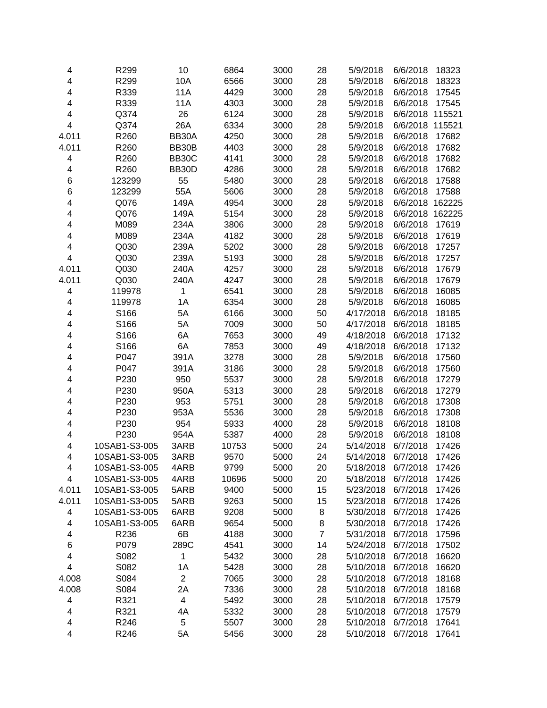| 4                       | R299          | 10             | 6864  | 3000 | 28             | 5/9/2018  | 6/6/2018        | 18323  |
|-------------------------|---------------|----------------|-------|------|----------------|-----------|-----------------|--------|
| 4                       | R299          | 10A            | 6566  | 3000 | 28             | 5/9/2018  | 6/6/2018        | 18323  |
| 4                       | R339          | 11A            | 4429  | 3000 | 28             | 5/9/2018  | 6/6/2018        | 17545  |
| 4                       | R339          | 11A            | 4303  | 3000 | 28             | 5/9/2018  | 6/6/2018        | 17545  |
| 4                       | Q374          | 26             | 6124  | 3000 | 28             | 5/9/2018  | 6/6/2018 115521 |        |
| 4                       | Q374          | 26A            | 6334  | 3000 | 28             | 5/9/2018  | 6/6/2018        | 115521 |
| 4.011                   | R260          | BB30A          | 4250  | 3000 | 28             | 5/9/2018  | 6/6/2018        | 17682  |
| 4.011                   | R260          | BB30B          | 4403  | 3000 | 28             | 5/9/2018  | 6/6/2018        | 17682  |
| 4                       | R260          | BB30C          | 4141  | 3000 | 28             | 5/9/2018  | 6/6/2018        | 17682  |
| 4                       | R260          | BB30D          | 4286  | 3000 | 28             | 5/9/2018  | 6/6/2018        | 17682  |
| 6                       | 123299        | 55             | 5480  | 3000 | 28             | 5/9/2018  | 6/6/2018        | 17588  |
| 6                       | 123299        | 55A            | 5606  | 3000 | 28             | 5/9/2018  | 6/6/2018        | 17588  |
| 4                       | Q076          | 149A           | 4954  | 3000 | 28             | 5/9/2018  | 6/6/2018        | 162225 |
| 4                       | Q076          | 149A           | 5154  | 3000 | 28             | 5/9/2018  | 6/6/2018 162225 |        |
| 4                       | M089          | 234A           | 3806  | 3000 | 28             | 5/9/2018  | 6/6/2018        | 17619  |
| 4                       | M089          | 234A           | 4182  | 3000 | 28             | 5/9/2018  | 6/6/2018        | 17619  |
| 4                       | Q030          | 239A           | 5202  | 3000 | 28             | 5/9/2018  | 6/6/2018        | 17257  |
| $\overline{\mathbf{4}}$ | Q030          | 239A           | 5193  | 3000 | 28             | 5/9/2018  | 6/6/2018        | 17257  |
| 4.011                   | Q030          | 240A           | 4257  | 3000 | 28             | 5/9/2018  | 6/6/2018        | 17679  |
| 4.011                   | Q030          | 240A           | 4247  | 3000 | 28             | 5/9/2018  | 6/6/2018        | 17679  |
| 4                       | 119978        | 1              | 6541  | 3000 | 28             | 5/9/2018  | 6/6/2018        | 16085  |
| 4                       | 119978        | 1A             | 6354  | 3000 | 28             | 5/9/2018  | 6/6/2018        | 16085  |
| 4                       | S166          | 5A             | 6166  | 3000 | 50             | 4/17/2018 | 6/6/2018        | 18185  |
| 4                       | S166          | 5A             | 7009  | 3000 | 50             | 4/17/2018 | 6/6/2018        | 18185  |
| 4                       | S166          | 6A             | 7653  | 3000 | 49             | 4/18/2018 | 6/6/2018        | 17132  |
| 4                       | S166          | 6A             | 7853  | 3000 | 49             | 4/18/2018 | 6/6/2018        | 17132  |
| 4                       | P047          | 391A           | 3278  | 3000 | 28             | 5/9/2018  | 6/6/2018        | 17560  |
| 4                       | P047          | 391A           | 3186  | 3000 | 28             | 5/9/2018  | 6/6/2018        | 17560  |
| 4                       | P230          | 950            | 5537  | 3000 | 28             | 5/9/2018  | 6/6/2018        | 17279  |
| 4                       | P230          | 950A           | 5313  | 3000 | 28             | 5/9/2018  | 6/6/2018        | 17279  |
| 4                       | P230          | 953            | 5751  | 3000 | 28             | 5/9/2018  | 6/6/2018        | 17308  |
| 4                       | P230          | 953A           | 5536  | 3000 | 28             | 5/9/2018  | 6/6/2018        | 17308  |
| 4                       | P230          | 954            | 5933  | 4000 | 28             | 5/9/2018  | 6/6/2018        | 18108  |
| 4                       | P230          | 954A           | 5387  | 4000 | 28             | 5/9/2018  | 6/6/2018        | 18108  |
| 4                       | 10SAB1-S3-005 | 3ARB           | 10753 | 5000 | 24             | 5/14/2018 | 6/7/2018        | 17426  |
| 4                       | 10SAB1-S3-005 | 3ARB           | 9570  | 5000 | 24             | 5/14/2018 | 6/7/2018        | 17426  |
| 4                       | 10SAB1-S3-005 | 4ARB           | 9799  | 5000 | 20             | 5/18/2018 | 6/7/2018        | 17426  |
| 4                       | 10SAB1-S3-005 | 4ARB           | 10696 | 5000 | 20             | 5/18/2018 | 6/7/2018        | 17426  |
| 4.011                   | 10SAB1-S3-005 | 5ARB           | 9400  | 5000 | 15             | 5/23/2018 | 6/7/2018        | 17426  |
| 4.011                   | 10SAB1-S3-005 | 5ARB           | 9263  | 5000 | 15             | 5/23/2018 | 6/7/2018        | 17426  |
| 4                       | 10SAB1-S3-005 | 6ARB           | 9208  | 5000 | 8              | 5/30/2018 | 6/7/2018        | 17426  |
| 4                       | 10SAB1-S3-005 | 6ARB           | 9654  | 5000 | 8              | 5/30/2018 | 6/7/2018        | 17426  |
| 4                       | R236          | 6B             | 4188  | 3000 | $\overline{7}$ | 5/31/2018 | 6/7/2018        | 17596  |
| 6                       | P079          | 289C           | 4541  | 3000 | 14             | 5/24/2018 | 6/7/2018        | 17502  |
| 4                       | S082          | 1              | 5432  | 3000 | 28             | 5/10/2018 | 6/7/2018        | 16620  |
| 4                       | S082          | 1A             | 5428  | 3000 | 28             | 5/10/2018 | 6/7/2018        | 16620  |
| 4.008                   | S084          | $\overline{c}$ | 7065  | 3000 | 28             | 5/10/2018 | 6/7/2018        | 18168  |
| 4.008                   | S084          | 2A             | 7336  | 3000 | 28             | 5/10/2018 | 6/7/2018        | 18168  |
| 4                       | R321          | 4              | 5492  | 3000 | 28             | 5/10/2018 | 6/7/2018        | 17579  |
| 4                       | R321          | 4A             | 5332  | 3000 | 28             | 5/10/2018 | 6/7/2018        | 17579  |
| 4                       | R246          | 5              | 5507  | 3000 | 28             | 5/10/2018 | 6/7/2018        | 17641  |
| 4                       | R246          | 5A             | 5456  | 3000 | 28             | 5/10/2018 | 6/7/2018        | 17641  |
|                         |               |                |       |      |                |           |                 |        |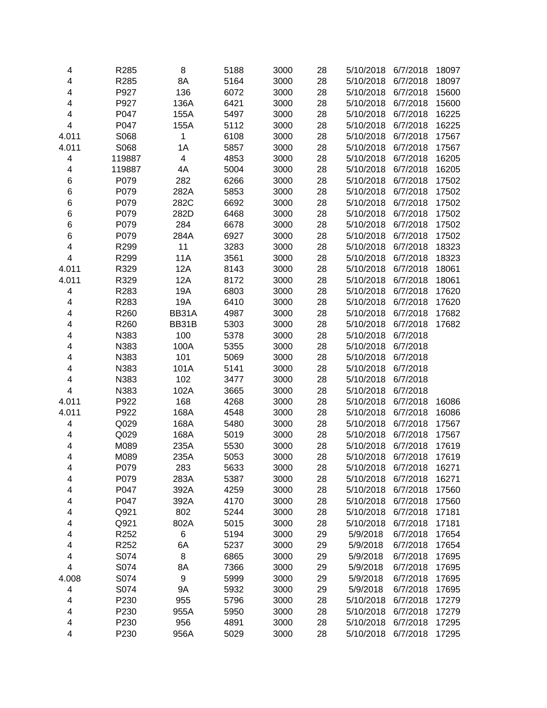| 4                       | R285         | 8                       | 5188         | 3000 | 28       | 5/10/2018              | 6/7/2018             | 18097          |
|-------------------------|--------------|-------------------------|--------------|------|----------|------------------------|----------------------|----------------|
| 4                       | R285         | 8A                      | 5164         | 3000 | 28       | 5/10/2018              | 6/7/2018             | 18097          |
| 4                       | P927         | 136                     | 6072         | 3000 | 28       | 5/10/2018              | 6/7/2018             | 15600          |
| 4                       | P927         | 136A                    | 6421         | 3000 | 28       | 5/10/2018              | 6/7/2018             | 15600          |
| 4                       | P047         | 155A                    | 5497         | 3000 | 28       | 5/10/2018              | 6/7/2018             | 16225          |
| 4                       | P047         | 155A                    | 5112         | 3000 | 28       | 5/10/2018              | 6/7/2018             | 16225          |
| 4.011                   | S068         | 1                       | 6108         | 3000 | 28       | 5/10/2018              | 6/7/2018             | 17567          |
| 4.011                   | S068         | 1A                      | 5857         | 3000 | 28       | 5/10/2018              | 6/7/2018             | 17567          |
| 4                       | 119887       | $\overline{\mathbf{4}}$ | 4853         | 3000 | 28       | 5/10/2018              | 6/7/2018             | 16205          |
| 4                       | 119887       | 4A                      | 5004         | 3000 | 28       | 5/10/2018              | 6/7/2018             | 16205          |
| 6                       | P079         | 282                     | 6266         | 3000 | 28       | 5/10/2018              | 6/7/2018             | 17502          |
| 6                       | P079         | 282A                    | 5853         | 3000 | 28       | 5/10/2018              | 6/7/2018             | 17502          |
| 6                       | P079         | 282C                    | 6692         | 3000 | 28       | 5/10/2018              | 6/7/2018             | 17502          |
| 6                       | P079         | 282D                    | 6468         | 3000 | 28       | 5/10/2018              | 6/7/2018             | 17502          |
| 6                       | P079         | 284                     | 6678         | 3000 | 28       | 5/10/2018              | 6/7/2018             | 17502          |
| 6                       | P079         | 284A                    | 6927         | 3000 | 28       | 5/10/2018              | 6/7/2018             | 17502          |
| 4                       | R299         | 11                      | 3283         | 3000 | 28       | 5/10/2018              | 6/7/2018             | 18323          |
| $\overline{\mathbf{4}}$ | R299         | 11A                     | 3561         | 3000 | 28       | 5/10/2018              | 6/7/2018             | 18323          |
| 4.011                   | R329         | 12A                     | 8143         | 3000 | 28       | 5/10/2018              | 6/7/2018             | 18061          |
| 4.011                   | R329         | 12A                     | 8172         | 3000 | 28       | 5/10/2018              | 6/7/2018             | 18061          |
| 4                       | R283         | 19A                     | 6803         | 3000 | 28       | 5/10/2018              | 6/7/2018             | 17620          |
| 4                       | R283         | 19A                     | 6410         | 3000 | 28       | 5/10/2018              | 6/7/2018             | 17620          |
| 4                       | R260         | BB31A                   | 4987         | 3000 | 28       | 5/10/2018              | 6/7/2018             | 17682          |
| 4                       | R260         | BB31B                   | 5303         | 3000 | 28       | 5/10/2018              | 6/7/2018             | 17682          |
| 4                       | N383         | 100                     | 5378         | 3000 | 28       | 5/10/2018              | 6/7/2018             |                |
| 4                       | N383         | 100A                    | 5355         | 3000 | 28       | 5/10/2018              | 6/7/2018             |                |
| 4                       | N383         | 101                     | 5069         | 3000 | 28       | 5/10/2018              | 6/7/2018             |                |
| 4                       | N383         | 101A                    | 5141         | 3000 | 28       | 5/10/2018              | 6/7/2018             |                |
| 4                       | N383         | 102                     | 3477         | 3000 | 28       | 5/10/2018              | 6/7/2018             |                |
| 4                       | N383         | 102A                    | 3665         | 3000 | 28       | 5/10/2018              | 6/7/2018             |                |
| 4.011                   | P922         | 168                     | 4268         | 3000 | 28       | 5/10/2018              | 6/7/2018             | 16086          |
| 4.011                   | P922         | 168A                    | 4548         | 3000 | 28       | 5/10/2018              | 6/7/2018             | 16086          |
| $\overline{\mathbf{4}}$ | Q029         | 168A                    | 5480         | 3000 | 28       | 5/10/2018              | 6/7/2018             | 17567          |
| 4                       | Q029         | 168A                    | 5019         | 3000 | 28       | 5/10/2018              | 6/7/2018             | 17567          |
| 4                       | M089         | 235A                    | 5530         | 3000 | 28       | 5/10/2018              | 6/7/2018             | 17619          |
| 4                       | M089         | 235A                    | 5053         | 3000 | 28       | 5/10/2018              | 6/7/2018             | 17619          |
|                         |              |                         |              | 3000 |          |                        |                      |                |
| 4<br>4                  | P079<br>P079 | 283<br>283A             | 5633<br>5387 | 3000 | 28<br>28 | 5/10/2018<br>5/10/2018 | 6/7/2018<br>6/7/2018 | 16271<br>16271 |
| 4                       | P047         | 392A                    | 4259         | 3000 | 28       | 5/10/2018              | 6/7/2018             | 17560          |
|                         | P047         | 392A                    | 4170         | 3000 | 28       | 5/10/2018              | 6/7/2018             | 17560          |
| 4<br>4                  | Q921         | 802                     | 5244         | 3000 | 28       | 5/10/2018              | 6/7/2018             | 17181          |
|                         |              | 802A                    |              | 3000 | 28       |                        |                      | 17181          |
| 4                       | Q921         |                         | 5015         | 3000 |          | 5/10/2018              | 6/7/2018<br>6/7/2018 |                |
| 4                       | R252         | 6                       | 5194         |      | 29       | 5/9/2018               |                      | 17654          |
| 4                       | R252         | 6A                      | 5237         | 3000 | 29       | 5/9/2018               | 6/7/2018             | 17654          |
| 4                       | S074         | 8                       | 6865         | 3000 | 29       | 5/9/2018               | 6/7/2018             | 17695          |
| 4                       | S074         | 8A                      | 7366         | 3000 | 29       | 5/9/2018               | 6/7/2018             | 17695          |
| 4.008                   | S074         | $\boldsymbol{9}$        | 5999         | 3000 | 29       | 5/9/2018               | 6/7/2018             | 17695          |
| 4                       | S074         | 9Α                      | 5932         | 3000 | 29       | 5/9/2018               | 6/7/2018             | 17695          |
| 4                       | P230         | 955                     | 5796         | 3000 | 28       | 5/10/2018              | 6/7/2018             | 17279          |
| 4                       | P230         | 955A                    | 5950         | 3000 | 28       | 5/10/2018              | 6/7/2018             | 17279          |
| 4                       | P230         | 956                     | 4891         | 3000 | 28       | 5/10/2018              | 6/7/2018             | 17295          |
| 4                       | P230         | 956A                    | 5029         | 3000 | 28       | 5/10/2018              | 6/7/2018             | 17295          |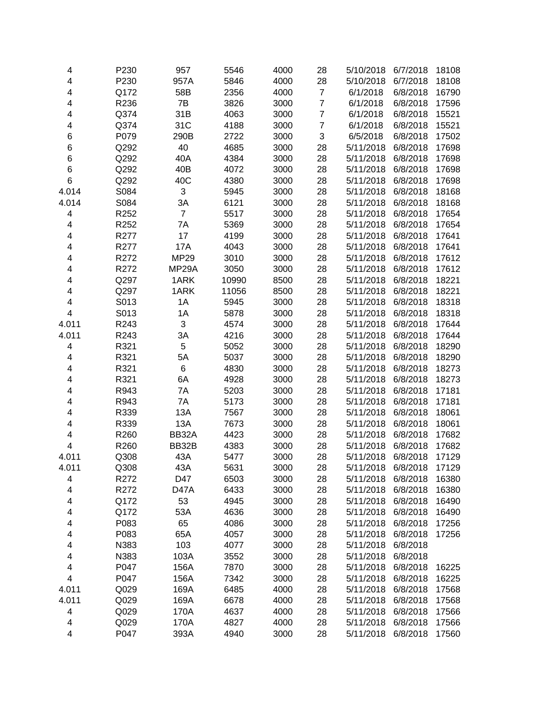| 4     | P230 | 957            | 5546  | 4000 | 28             | 5/10/2018 | 6/7/2018 | 18108 |
|-------|------|----------------|-------|------|----------------|-----------|----------|-------|
| 4     | P230 | 957A           | 5846  | 4000 | 28             | 5/10/2018 | 6/7/2018 | 18108 |
| 4     | Q172 | 58B            | 2356  | 4000 | $\overline{7}$ | 6/1/2018  | 6/8/2018 | 16790 |
| 4     | R236 | 7B             | 3826  | 3000 | $\overline{7}$ | 6/1/2018  | 6/8/2018 | 17596 |
| 4     | Q374 | 31B            | 4063  | 3000 | $\overline{7}$ | 6/1/2018  | 6/8/2018 | 15521 |
| 4     | Q374 | 31C            | 4188  | 3000 | $\overline{7}$ | 6/1/2018  | 6/8/2018 | 15521 |
| 6     | P079 | 290B           | 2722  | 3000 | 3              | 6/5/2018  | 6/8/2018 | 17502 |
| 6     | Q292 | 40             | 4685  | 3000 | 28             | 5/11/2018 | 6/8/2018 | 17698 |
| 6     | Q292 | 40A            | 4384  | 3000 | 28             | 5/11/2018 | 6/8/2018 | 17698 |
| 6     | Q292 | 40B            | 4072  | 3000 | 28             | 5/11/2018 | 6/8/2018 | 17698 |
| 6     | Q292 | 40C            | 4380  | 3000 | 28             | 5/11/2018 | 6/8/2018 | 17698 |
| 4.014 | S084 | 3              | 5945  | 3000 | 28             | 5/11/2018 | 6/8/2018 | 18168 |
| 4.014 | S084 | 3A             | 6121  | 3000 | 28             | 5/11/2018 | 6/8/2018 | 18168 |
| 4     | R252 | $\overline{7}$ | 5517  | 3000 | 28             | 5/11/2018 | 6/8/2018 | 17654 |
| 4     | R252 | 7A             | 5369  | 3000 | 28             | 5/11/2018 | 6/8/2018 | 17654 |
| 4     | R277 | 17             | 4199  | 3000 | 28             | 5/11/2018 | 6/8/2018 | 17641 |
| 4     | R277 | 17A            | 4043  | 3000 | 28             | 5/11/2018 | 6/8/2018 | 17641 |
| 4     | R272 | <b>MP29</b>    | 3010  | 3000 | 28             | 5/11/2018 | 6/8/2018 | 17612 |
| 4     | R272 | MP29A          | 3050  | 3000 | 28             | 5/11/2018 | 6/8/2018 | 17612 |
| 4     | Q297 | 1ARK           | 10990 | 8500 | 28             | 5/11/2018 | 6/8/2018 | 18221 |
| 4     | Q297 | 1ARK           | 11056 | 8500 | 28             | 5/11/2018 | 6/8/2018 | 18221 |
| 4     | S013 | 1A             | 5945  | 3000 | 28             | 5/11/2018 | 6/8/2018 | 18318 |
| 4     | S013 | 1A             | 5878  | 3000 | 28             | 5/11/2018 | 6/8/2018 | 18318 |
| 4.011 | R243 | 3              | 4574  | 3000 | 28             | 5/11/2018 | 6/8/2018 | 17644 |
| 4.011 | R243 | 3A             | 4216  | 3000 | 28             | 5/11/2018 | 6/8/2018 | 17644 |
| 4     | R321 | 5              | 5052  | 3000 | 28             | 5/11/2018 | 6/8/2018 | 18290 |
| 4     | R321 | 5A             | 5037  | 3000 | 28             | 5/11/2018 | 6/8/2018 | 18290 |
| 4     | R321 | $\,6$          | 4830  | 3000 | 28             | 5/11/2018 | 6/8/2018 | 18273 |
| 4     | R321 | 6A             | 4928  | 3000 | 28             | 5/11/2018 | 6/8/2018 | 18273 |
| 4     | R943 | 7A             | 5203  | 3000 | 28             | 5/11/2018 | 6/8/2018 | 17181 |
| 4     | R943 | 7A             | 5173  | 3000 | 28             | 5/11/2018 | 6/8/2018 | 17181 |
| 4     | R339 | 13A            | 7567  | 3000 | 28             | 5/11/2018 | 6/8/2018 | 18061 |
| 4     | R339 | 13A            | 7673  | 3000 | 28             | 5/11/2018 | 6/8/2018 | 18061 |
| 4     | R260 | BB32A          | 4423  | 3000 | 28             | 5/11/2018 | 6/8/2018 | 17682 |
| 4     | R260 | BB32B          | 4383  | 3000 | 28             | 5/11/2018 | 6/8/2018 | 17682 |
| 4.011 | Q308 | 43A            | 5477  | 3000 | 28             | 5/11/2018 | 6/8/2018 | 17129 |
| 4.011 | Q308 | 43A            | 5631  | 3000 | 28             | 5/11/2018 | 6/8/2018 | 17129 |
| 4     | R272 | D47            | 6503  | 3000 | 28             | 5/11/2018 | 6/8/2018 | 16380 |
| 4     | R272 | <b>D47A</b>    | 6433  | 3000 | 28             | 5/11/2018 | 6/8/2018 | 16380 |
| 4     | Q172 | 53             | 4945  | 3000 | 28             | 5/11/2018 | 6/8/2018 | 16490 |
| 4     | Q172 | 53A            | 4636  | 3000 | 28             | 5/11/2018 | 6/8/2018 | 16490 |
| 4     | P083 | 65             | 4086  | 3000 | 28             | 5/11/2018 | 6/8/2018 | 17256 |
| 4     | P083 | 65A            | 4057  | 3000 | 28             | 5/11/2018 | 6/8/2018 | 17256 |
| 4     | N383 | 103            | 4077  | 3000 | 28             | 5/11/2018 | 6/8/2018 |       |
| 4     | N383 | 103A           | 3552  | 3000 | 28             | 5/11/2018 | 6/8/2018 |       |
| 4     | P047 | 156A           | 7870  | 3000 | 28             | 5/11/2018 | 6/8/2018 | 16225 |
| 4     | P047 | 156A           | 7342  | 3000 | 28             | 5/11/2018 | 6/8/2018 | 16225 |
| 4.011 | Q029 | 169A           | 6485  | 4000 | 28             | 5/11/2018 | 6/8/2018 | 17568 |
| 4.011 | Q029 | 169A           | 6678  | 4000 | 28             | 5/11/2018 | 6/8/2018 | 17568 |
| 4     | Q029 | 170A           | 4637  | 4000 | 28             | 5/11/2018 | 6/8/2018 | 17566 |
| 4     | Q029 | 170A           | 4827  | 4000 | 28             | 5/11/2018 | 6/8/2018 | 17566 |
| 4     | P047 | 393A           | 4940  | 3000 | 28             | 5/11/2018 | 6/8/2018 | 17560 |